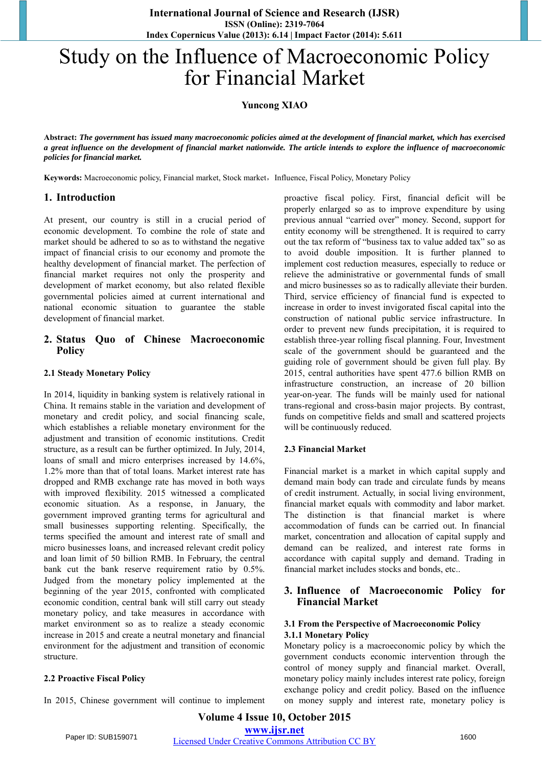# Study on the Influence of Macroeconomic Policy for Financial Market

# **Yuncong XIAO**

**Abstract:** *The government has issued many macroeconomic policies aimed at the development of financial market, which has exercised a great influence on the development of financial market nationwide. The article intends to explore the influence of macroeconomic policies for financial market.* 

Keywords: Macroeconomic policy, Financial market, Stock market, Influence, Fiscal Policy, Monetary Policy

# **1. Introduction**

At present, our country is still in a crucial period of economic development. To combine the role of state and market should be adhered to so as to withstand the negative impact of financial crisis to our economy and promote the healthy development of financial market. The perfection of financial market requires not only the prosperity and development of market economy, but also related flexible governmental policies aimed at current international and national economic situation to guarantee the stable development of financial market.

## **2. Status Quo of Chinese Macroeconomic Policy**

## **2.1 Steady Monetary Policy**

In 2014, liquidity in banking system is relatively rational in China. It remains stable in the variation and development of monetary and credit policy, and social financing scale, which establishes a reliable monetary environment for the adjustment and transition of economic institutions. Credit structure, as a result can be further optimized. In July, 2014, loans of small and micro enterprises increased by 14.6%, 1.2% more than that of total loans. Market interest rate has dropped and RMB exchange rate has moved in both ways with improved flexibility. 2015 witnessed a complicated economic situation. As a response, in January, the government improved granting terms for agricultural and small businesses supporting relenting. Specifically, the terms specified the amount and interest rate of small and micro businesses loans, and increased relevant credit policy and loan limit of 50 billion RMB. In February, the central bank cut the bank reserve requirement ratio by 0.5%. Judged from the monetary policy implemented at the beginning of the year 2015, confronted with complicated economic condition, central bank will still carry out steady monetary policy, and take measures in accordance with market environment so as to realize a steady economic increase in 2015 and create a neutral monetary and financial environment for the adjustment and transition of economic structure.

## **2.2 Proactive Fiscal Policy**

In 2015, Chinese government will continue to implement

proactive fiscal policy. First, financial deficit will be properly enlarged so as to improve expenditure by using previous annual "carried over" money. Second, support for entity economy will be strengthened. It is required to carry out the tax reform of "business tax to value added tax" so as to avoid double imposition. It is further planned to implement cost reduction measures, especially to reduce or relieve the administrative or governmental funds of small and micro businesses so as to radically alleviate their burden. Third, service efficiency of financial fund is expected to increase in order to invest invigorated fiscal capital into the construction of national public service infrastructure. In order to prevent new funds precipitation, it is required to establish three-year rolling fiscal planning. Four, Investment scale of the government should be guaranteed and the guiding role of government should be given full play. By 2015, central authorities have spent 477.6 billion RMB on infrastructure construction, an increase of 20 billion year-on-year. The funds will be mainly used for national trans-regional and cross-basin major projects. By contrast, funds on competitive fields and small and scattered projects will be continuously reduced.

## **2.3 Financial Market**

Financial market is a market in which capital supply and demand main body can trade and circulate funds by means of credit instrument. Actually, in social living environment, financial market equals with commodity and labor market. The distinction is that financial market is where accommodation of funds can be carried out. In financial market, concentration and allocation of capital supply and demand can be realized, and interest rate forms in accordance with capital supply and demand. Trading in financial market includes stocks and bonds, etc..

### **3. Influence of Macroeconomic Policy for Financial Market**

#### **3.1 From the Perspective of Macroeconomic Policy 3.1.1 Monetary Policy**

Monetary policy is a macroeconomic policy by which the government conducts economic intervention through the control o[f money](https://en.wikipedia.org/wiki/Supply_of_money) supply and financial market. Overall, monetary policy mainly includes interest rate policy, foreign exchange policy and credit policy. Based on the influence on money supply and interest rate, monetary policy is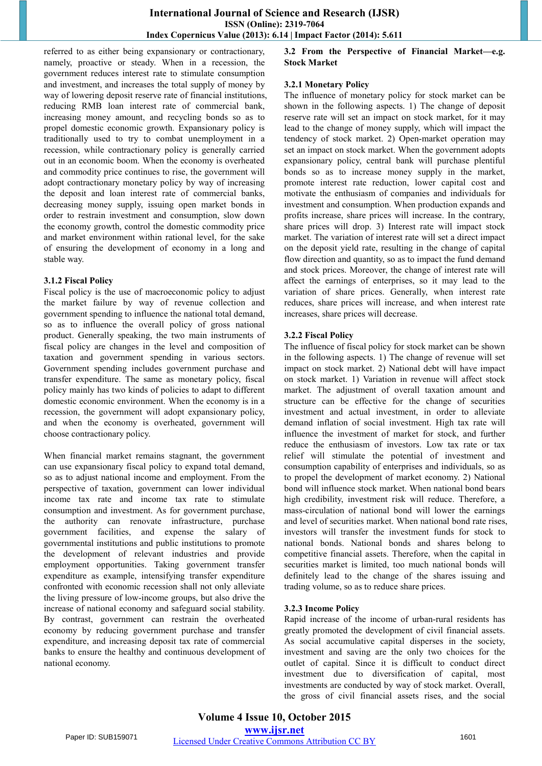referred to as either being expansionary or contractionary, namely, proactive or steady. When in a recession, the government reduces interest rate to stimulate consumption and investment, and increases the total supply of money by way of lowering deposit reserve rate of financial institutions, reducing RMB loan interest rate of commercial bank, increasing money amount, and recycling bonds so as to propel domestic economic growth. Expansionary policy is traditionally used to try to combat [unemployment](https://en.wikipedia.org/wiki/Unemployment) in a [recession,](https://en.wikipedia.org/wiki/Recession) while contractionary policy is generally carried out in an economic boom. When the economy is overheated and commodity price continues to rise, the government will adopt contractionary monetary policy by way of increasing the deposit and loan interest rate of commercial banks, decreasing money supply, issuing open market bonds in order to restrain investment and consumption, slow down the economy growth, control the domestic commodity price and market environment within rational level, for the sake of ensuring the development of economy in a long and stable way.

#### **3.1.2 Fiscal Policy**

Fiscal policy is the use of macroeconomic policy to adjust the market failure by way of [revenue](https://en.wikipedia.org/wiki/Government_revenue) collection and government [spending](https://en.wikipedia.org/wiki/Government_spending) to influence the national total demand, so as to influence the overall policy of gross national product. Generally speaking, the two main instruments of fiscal policy are changes in the level and composition of taxation and government spending in various sectors. Government spending includes government purchase and transfer expenditure. The same as monetary policy, fiscal policy mainly has two kinds of policies to adapt to different domestic economic environment. When the economy is in a recession, the government will adopt expansionary policy, and when the economy is overheated, government will choose contractionary policy.

When financial market remains stagnant, the government can use expansionary fiscal policy to expand total demand, so as to adjust national income and employment. From the perspective of taxation, government can lower individual income tax rate and income tax rate to stimulate consumption and investment. As for government purchase, the authority can renovate infrastructure, purchase government facilities, and expense the salary of governmental institutions and public institutions to promote the development of relevant industries and provide employment opportunities. Taking government transfer expenditure as example, intensifying transfer expenditure confronted with economic recession shall not only alleviate the living pressure of low-income groups, but also drive the increase of national economy and safeguard social stability. By contrast, government can restrain the overheated economy by reducing government purchase and transfer expenditure, and increasing deposit tax rate of commercial banks to ensure the healthy and continuous development of national economy.

**3.2 From the Perspective of Financial Market—e.g. Stock Market** 

## **3.2.1 Monetary Policy**

The influence of monetary policy for stock market can be shown in the following aspects. 1) The change of deposit reserve rate will set an impact on stock market, for it may lead to the change of money supply, which will impact the tendency of stock market. 2) Open-market operation may set an impact on stock market. When the government adopts expansionary policy, central bank will purchase plentiful bonds so as to increase money supply in the market, promote interest rate reduction, lower capital cost and motivate the enthusiasm of companies and individuals for investment and consumption. When production expands and profits increase, share prices will increase. In the contrary, share prices will drop. 3) Interest rate will impact stock market. The variation of interest rate will set a direct impact on the deposit yield rate, resulting in the change of capital flow direction and quantity, so as to impact the fund demand and stock prices. Moreover, the change of interest rate will affect the earnings of enterprises, so it may lead to the variation of share prices. Generally, when interest rate reduces, share prices will increase, and when interest rate increases, share prices will decrease.

## **3.2.2 Fiscal Policy**

The influence of fiscal policy for stock market can be shown in the following aspects. 1) The change of revenue will set impact on stock market. 2) National debt will have impact on stock market. 1) Variation in revenue will affect stock market. The adjustment of overall taxation amount and structure can be effective for the change of securities investment and actual investment, in order to alleviate demand inflation of social investment. High tax rate will influence the investment of market for stock, and further reduce the enthusiasm of investors. Low tax rate or tax relief will stimulate the potential of investment and consumption capability of enterprises and individuals, so as to propel the development of market economy. 2) National bond will influence stock market. When national bond bears high credibility, investment risk will reduce. Therefore, a mass-circulation of national bond will lower the earnings and level of securities market. When national bond rate rises, investors will transfer the investment funds for stock to national bonds. National bonds and shares belong to competitive financial assets. Therefore, when the capital in securities market is limited, too much national bonds will definitely lead to the change of the shares issuing and trading volume, so as to reduce share prices.

## **3.2.3 Income Policy**

Rapid increase of the income of urban-rural residents has greatly promoted the development of civil financial assets. As social accumulative capital disperses in the society, investment and saving are the only two choices for the outlet of capital. Since it is difficult to conduct direct investment due to diversification of capital, most investments are conducted by way of stock market. Overall, the gross of civil financial assets rises, and the social